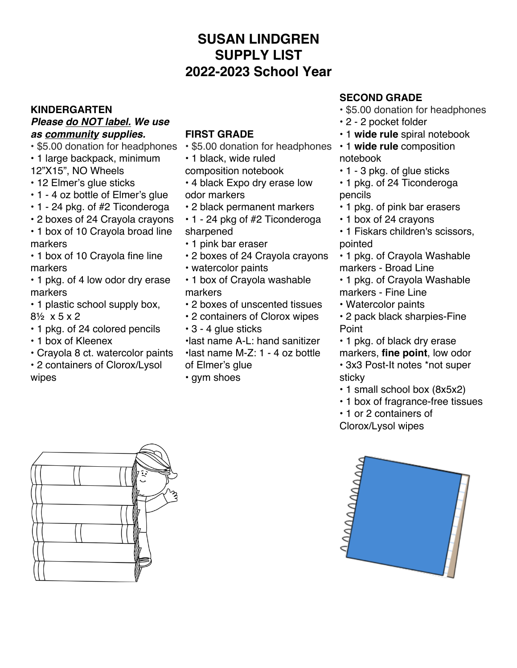## **SUSAN LINDGREN SUPPLY LIST 2022-2023 School Year**

#### **KINDERGARTEN** *Please do NOT label. We use as community supplies.*

• \$5.00 donation for headphones

- 1 large backpack, minimum
- 12"X15", NO Wheels
- 12 Elmer's glue sticks
- 1 4 oz bottle of Elmer's glue
- 1 24 pkg. of #2 Ticonderoga
- 2 boxes of 24 Crayola crayons
- 1 box of 10 Crayola broad line markers

• 1 box of 10 Crayola fine line markers

- 1 pkg. of 4 low odor dry erase markers
- 1 plastic school supply box, 8½ x 5 x 2
- 1 pkg. of 24 colored pencils
- 1 box of Kleenex
- Crayola 8 ct. watercolor paints
- 2 containers of Clorox/Lysol wipes

#### **FIRST GRADE**

- \$5.00 donation for headphones
- 1 black, wide ruled
- composition notebook
- 4 black Expo dry erase low odor markers
- 2 black permanent markers
- 1 24 pkg of #2 Ticonderoga sharpened
- 1 pink bar eraser
- 2 boxes of 24 Crayola crayons
- watercolor paints
- 1 box of Crayola washable markers
- 2 boxes of unscented tissues
- 2 containers of Clorox wipes
- 3 4 glue sticks
- •last name A-L: hand sanitizer
- •last name M-Z: 1 4 oz bottle
- of Elmer's glue
- gym shoes

### **SECOND GRADE**

- \$5.00 donation for headphones
- 2 2 pocket folder
- 1 **wide rule** spiral notebook
- 1 **wide rule** composition notebook
- 1 3 pkg. of glue sticks
- 1 pkg. of 24 Ticonderoga pencils
- 1 pkg. of pink bar erasers
- 1 box of 24 crayons
- 1 Fiskars children's scissors, pointed
- 1 pkg. of Crayola Washable markers - Broad Line
- 1 pkg. of Crayola Washable markers - Fine Line
- Watercolor paints
- 2 pack black sharpies-Fine Point
- 1 pkg. of black dry erase markers, **fine point**, low odor
- 3x3 Post-It notes \*not super sticky
- 1 small school box (8x5x2)
- 1 box of fragrance-free tissues
- 1 or 2 containers of
- Clorox/Lysol wipes